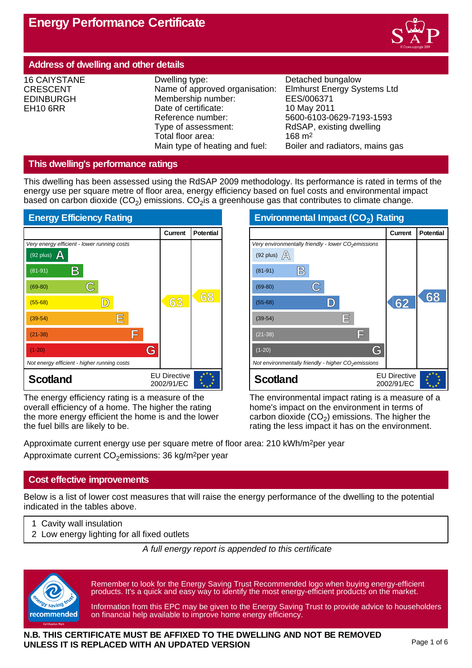

# **Address of dwelling and other details**

16 CAIYSTANE CRESCENT EDINBURGH EH10 6RR

Dwelling type: Detached bungalow Name of approved organisation: Elmhurst Energy Systems Ltd Membership number: EES/006371 Date of certificate: 10 May 2011 Reference number: 5600-6103-0629-7193-1593<br>Type of assessment: RdSAP, existing dwelling Total floor area: 168 m<sup>2</sup><br>Main type of heating and fuel: Boiler a

RdSAP, existing dwelling Boiler and radiators, mains gas

## **This dwelling's performance ratings**

This dwelling has been assessed using the RdSAP 2009 methodology. Its performance is rated in terms of the energy use per square metre of floor area, energy efficiency based on fuel costs and environmental impact based on carbon dioxide (CO<sub>2</sub>) emissions. CO<sub>2</sub>is a greenhouse gas that contributes to climate change.



The energy efficiency rating is a measure of the overall efficiency of a home. The higher the rating the more energy efficient the home is and the lower the fuel bills are likely to be.

| Environmental Impact (CO <sub>2</sub> ) Rating                  |                                   |                  |  |
|-----------------------------------------------------------------|-----------------------------------|------------------|--|
|                                                                 | <b>Current</b>                    | <b>Potential</b> |  |
| Very environmentally friendly - lower CO <sub>2</sub> emissions |                                   |                  |  |
| (92 plus) $\mathbb{A}$                                          |                                   |                  |  |
| B)<br>$(81-91)$                                                 |                                   |                  |  |
| $(69-80)$                                                       |                                   |                  |  |
| $(55-68)$                                                       | 62                                | 68               |  |
| E<br>$(39-54)$                                                  |                                   |                  |  |
| ΙĦ<br>$(21-38)$                                                 |                                   |                  |  |
| G<br>$(1-20)$                                                   |                                   |                  |  |
| Not environmentally friendly - higher $CO2$ emissions           |                                   |                  |  |
| <b>Scotland</b>                                                 | <b>EU Directive</b><br>2002/91/EC |                  |  |

The environmental impact rating is a measure of a home's impact on the environment in terms of carbon dioxide (CO<sub>2</sub>) emissions. The higher the rating the less impact it has on the environment.

Approximate current energy use per square metre of floor area: 210 kWh/m2per year Approximate current  $CO<sub>2</sub>$ emissions: 36 kg/m<sup>2</sup>per year

## **Cost effective improvements**

Below is a list of lower cost measures that will raise the energy performance of the dwelling to the potential indicated in the tables above.

- 1 Cavity wall insulation
- 2 Low energy lighting for all fixed outlets

*A full energy report is appended to this certificate*



Remember to look for the Energy Saving Trust Recommended logo when buying energy-efficient products. It's a quick and easy way to identify the most energy-efficient products on the market.

Information from this EPC may be given to the Energy Saving Trust to provide advice to householders on financial help available to improve home energy efficiency.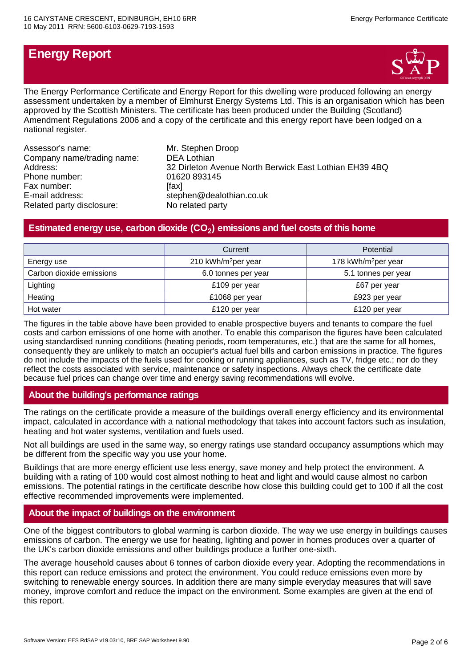# **Energy Report**



The Energy Performance Certificate and Energy Report for this dwelling were produced following an energy assessment undertaken by a member of Elmhurst Energy Systems Ltd. This is an organisation which has been approved by the Scottish Ministers. The certificate has been produced under the Building (Scotland) Amendment Regulations 2006 and a copy of the certificate and this energy report have been lodged on a national register.

| Assessor's name:           | Mr. Stephen Droop                                      |
|----------------------------|--------------------------------------------------------|
| Company name/trading name: | <b>DEA Lothian</b>                                     |
| Address:                   | 32 Dirleton Avenue North Berwick East Lothian EH39 4BQ |
| Phone number:              | 01620 893145                                           |
| Fax number:                | [fax]                                                  |
| E-mail address:            | stephen@dealothian.co.uk                               |
| Related party disclosure:  | No related party                                       |

# **Estimated energy use, carbon dioxide (CO<sup>2</sup> ) emissions and fuel costs of this home**

|                          | Potential<br>Current            |                                 |
|--------------------------|---------------------------------|---------------------------------|
| Energy use               | 210 kWh/m <sup>2</sup> per year | 178 kWh/m <sup>2</sup> per year |
| Carbon dioxide emissions | 6.0 tonnes per year             | 5.1 tonnes per year             |
| Lighting                 | £109 per year                   | £67 per year                    |
| Heating                  | £1068 per year                  | £923 per year                   |
| Hot water                | £120 per year                   | £120 per year                   |

The figures in the table above have been provided to enable prospective buyers and tenants to compare the fuel costs and carbon emissions of one home with another. To enable this comparison the figures have been calculated using standardised running conditions (heating periods, room temperatures, etc.) that are the same for all homes, consequently they are unlikely to match an occupier's actual fuel bills and carbon emissions in practice. The figures do not include the impacts of the fuels used for cooking or running appliances, such as TV, fridge etc.; nor do they reflect the costs associated with service, maintenance or safety inspections. Always check the certificate date because fuel prices can change over time and energy saving recommendations will evolve.

## **About the building's performance ratings**

The ratings on the certificate provide a measure of the buildings overall energy efficiency and its environmental impact, calculated in accordance with a national methodology that takes into account factors such as insulation, heating and hot water systems, ventilation and fuels used.

Not all buildings are used in the same way, so energy ratings use standard occupancy assumptions which may be different from the specific way you use your home.

Buildings that are more energy efficient use less energy, save money and help protect the environment. A building with a rating of 100 would cost almost nothing to heat and light and would cause almost no carbon emissions. The potential ratings in the certificate describe how close this building could get to 100 if all the cost effective recommended improvements were implemented.

## **About the impact of buildings on the environment**

One of the biggest contributors to global warming is carbon dioxide. The way we use energy in buildings causes emissions of carbon. The energy we use for heating, lighting and power in homes produces over a quarter of the UK's carbon dioxide emissions and other buildings produce a further one-sixth.

The average household causes about 6 tonnes of carbon dioxide every year. Adopting the recommendations in this report can reduce emissions and protect the environment. You could reduce emissions even more by switching to renewable energy sources. In addition there are many simple everyday measures that will save money, improve comfort and reduce the impact on the environment. Some examples are given at the end of this report.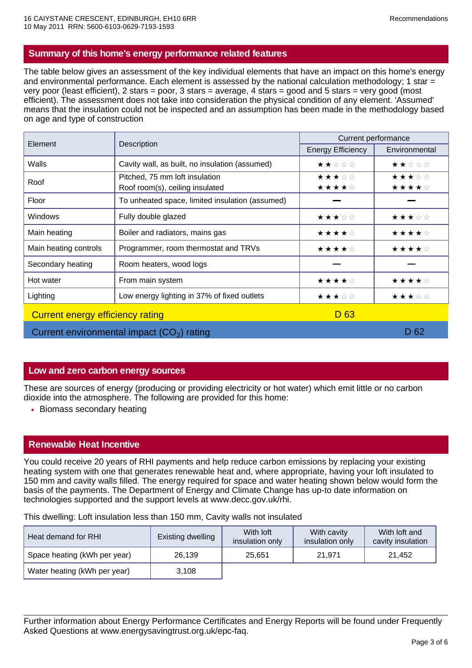## **Summary of this home's energy performance related features**

The table below gives an assessment of the key individual elements that have an impact on this home's energy and environmental performance. Each element is assessed by the national calculation methodology; 1 star = very poor (least efficient), 2 stars = poor, 3 stars = average, 4 stars = good and 5 stars = very good (most efficient). The assessment does not take into consideration the physical condition of any element. 'Assumed' means that the insulation could not be inspected and an assumption has been made in the methodology based on age and type of construction

| Element                                 |                                                 | Current performance      |               |  |
|-----------------------------------------|-------------------------------------------------|--------------------------|---------------|--|
|                                         | Description                                     | <b>Energy Efficiency</b> | Environmental |  |
| Walls                                   | Cavity wall, as built, no insulation (assumed)  | ★★☆☆☆                    | ★★☆☆☆         |  |
| Roof                                    | Pitched, 75 mm loft insulation                  | ★★★☆☆                    | ★★★☆☆         |  |
|                                         | Roof room(s), ceiling insulated                 | ★★★★☆                    | ★★★★☆         |  |
| Floor                                   | To unheated space, limited insulation (assumed) |                          |               |  |
| Windows                                 | Fully double glazed                             | ★★★☆☆                    | ★★★☆☆         |  |
| Main heating                            | Boiler and radiators, mains gas                 | ★★★★☆                    | ★★★★☆         |  |
| Main heating controls                   | Programmer, room thermostat and TRVs            | ★★★★☆                    | ★★★★☆         |  |
| Secondary heating                       | Room heaters, wood logs                         |                          |               |  |
| Hot water                               | From main system                                | ★★★★☆                    | ★★★★☆         |  |
| Lighting                                | Low energy lighting in 37% of fixed outlets     | ★★★☆☆                    | ★★★☆☆         |  |
| <b>Current energy efficiency rating</b> |                                                 | D <sub>63</sub>          |               |  |
|                                         | Current environmental impact $(CO2)$ rating     |                          | D 62          |  |

# **Low and zero carbon energy sources**

These are sources of energy (producing or providing electricity or hot water) which emit little or no carbon dioxide into the atmosphere. The following are provided for this home:

• Biomass secondary heating

## **Renewable Heat Incentive**

You could receive 20 years of RHI payments and help reduce carbon emissions by replacing your existing heating system with one that generates renewable heat and, where appropriate, having your loft insulated to 150 mm and cavity walls filled. The energy required for space and water heating shown below would form the basis of the payments. The Department of Energy and Climate Change has up-to date information on technologies supported and the support levels at www.decc.gov.uk/rhi.

This dwelling: Loft insulation less than 150 mm, Cavity walls not insulated

| Heat demand for RHI          | Existing dwelling | With loft<br>insulation only | With cavity<br>insulation only | With loft and<br>cavity insulation |
|------------------------------|-------------------|------------------------------|--------------------------------|------------------------------------|
| Space heating (kWh per year) | 26.139            | 25.651                       | 21.971                         | 21.452                             |
| Water heating (kWh per year) | 3.108             |                              |                                |                                    |

Further information about Energy Performance Certificates and Energy Reports will be found under Frequently Asked Questions at www.energysavingtrust.org.uk/epc-faq.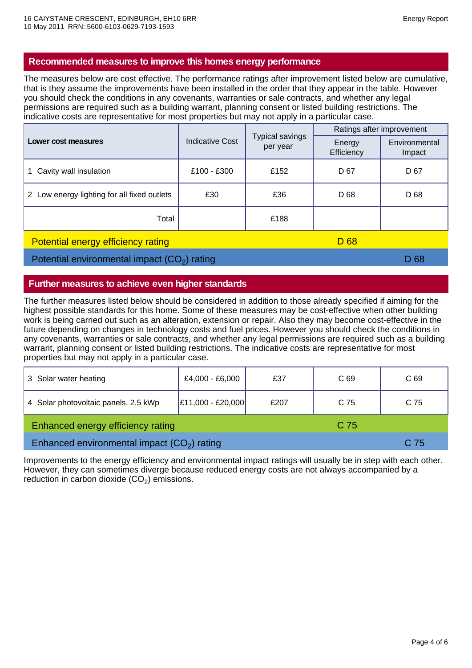## **Recommended measures to improve this homes energy performance**

The measures below are cost effective. The performance ratings after improvement listed below are cumulative, that is they assume the improvements have been installed in the order that they appear in the table. However you should check the conditions in any covenants, warranties or sale contracts, and whether any legal permissions are required such as a building warrant, planning consent or listed building restrictions. The indicative costs are representative for most properties but may not apply in a particular case.

| Lower cost measures                                          | <b>Indicative Cost</b> | <b>Typical savings</b><br>per year | Ratings after improvement |                         |
|--------------------------------------------------------------|------------------------|------------------------------------|---------------------------|-------------------------|
|                                                              |                        |                                    | Energy<br>Efficiency      | Environmental<br>Impact |
| Cavity wall insulation<br>1.                                 | £100 - £300            | £152                               | D 67                      | D 67                    |
| 2 Low energy lighting for all fixed outlets                  | £30                    | £36                                | D 68                      | D 68                    |
| Total                                                        |                        | £188                               |                           |                         |
| D <sub>68</sub><br><b>Potential energy efficiency rating</b> |                        |                                    |                           |                         |

Potential environmental impact  $(CO_2)$  rating  $D \ 68$ 

# **Further measures to achieve even higher standards**

The further measures listed below should be considered in addition to those already specified if aiming for the highest possible standards for this home. Some of these measures may be cost-effective when other building work is being carried out such as an alteration, extension or repair. Also they may become cost-effective in the future depending on changes in technology costs and fuel prices. However you should check the conditions in any covenants, warranties or sale contracts, and whether any legal permissions are required such as a building warrant, planning consent or listed building restrictions. The indicative costs are representative for most properties but may not apply in a particular case.

| 3 Solar water heating                        | £4,000 - £6,000     | £37  | C <sub>69</sub> | C <sub>69</sub> |
|----------------------------------------------|---------------------|------|-----------------|-----------------|
| 4 Solar photovoltaic panels, 2.5 kWp         | $E11,000 - E20,000$ | £207 | C 75            | C 75            |
| Enhanced energy efficiency rating<br>C 75    |                     |      |                 |                 |
| Enhanced environmental impact $(CO2)$ rating |                     |      |                 | C 75            |

Improvements to the energy efficiency and environmental impact ratings will usually be in step with each other. However, they can sometimes diverge because reduced energy costs are not always accompanied by a reduction in carbon dioxide  $(CO<sub>2</sub>)$  emissions.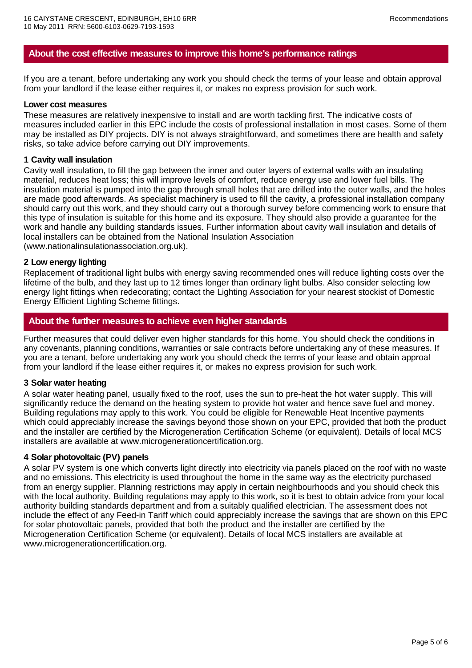## **About the cost effective measures to improve this home's performance ratings**

If you are a tenant, before undertaking any work you should check the terms of your lease and obtain approval from your landlord if the lease either requires it, or makes no express provision for such work.

#### **Lower cost measures**

These measures are relatively inexpensive to install and are worth tackling first. The indicative costs of measures included earlier in this EPC include the costs of professional installation in most cases. Some of them may be installed as DIY projects. DIY is not always straightforward, and sometimes there are health and safety risks, so take advice before carrying out DIY improvements.

#### **1 Cavity wall insulation**

Cavity wall insulation, to fill the gap between the inner and outer layers of external walls with an insulating material, reduces heat loss; this will improve levels of comfort, reduce energy use and lower fuel bills. The insulation material is pumped into the gap through small holes that are drilled into the outer walls, and the holes are made good afterwards. As specialist machinery is used to fill the cavity, a professional installation company should carry out this work, and they should carry out a thorough survey before commencing work to ensure that this type of insulation is suitable for this home and its exposure. They should also provide a guarantee for the work and handle any building standards issues. Further information about cavity wall insulation and details of local installers can be obtained from the National Insulation Association (www.nationalinsulationassociation.org.uk).

#### **2 Low energy lighting**

Replacement of traditional light bulbs with energy saving recommended ones will reduce lighting costs over the lifetime of the bulb, and they last up to 12 times longer than ordinary light bulbs. Also consider selecting low energy light fittings when redecorating; contact the Lighting Association for your nearest stockist of Domestic Energy Efficient Lighting Scheme fittings.

## **About the further measures to achieve even higher standards**

Further measures that could deliver even higher standards for this home. You should check the conditions in any covenants, planning conditions, warranties or sale contracts before undertaking any of these measures. If you are a tenant, before undertaking any work you should check the terms of your lease and obtain approal from your landlord if the lease either requires it, or makes no express provision for such work.

#### **3 Solar water heating**

A solar water heating panel, usually fixed to the roof, uses the sun to pre-heat the hot water supply. This will significantly reduce the demand on the heating system to provide hot water and hence save fuel and money. Building regulations may apply to this work. You could be eligible for Renewable Heat Incentive payments which could appreciably increase the savings beyond those shown on your EPC, provided that both the product and the installer are certified by the Microgeneration Certification Scheme (or equivalent). Details of local MCS installers are available at www.microgenerationcertification.org.

#### **4 Solar photovoltaic (PV) panels**

A solar PV system is one which converts light directly into electricity via panels placed on the roof with no waste and no emissions. This electricity is used throughout the home in the same way as the electricity purchased from an energy supplier. Planning restrictions may apply in certain neighbourhoods and you should check this with the local authority. Building regulations may apply to this work, so it is best to obtain advice from your local authority building standards department and from a suitably qualified electrician. The assessment does not include the effect of any Feed-in Tariff which could appreciably increase the savings that are shown on this EPC for solar photovoltaic panels, provided that both the product and the installer are certified by the Microgeneration Certification Scheme (or equivalent). Details of local MCS installers are available at www.microgenerationcertification.org.